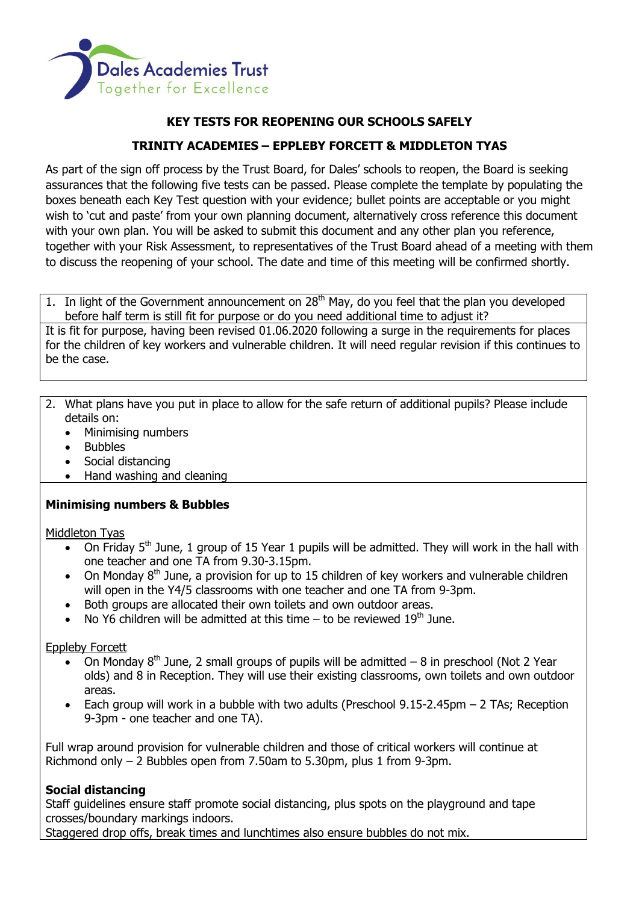

# **KEY TESTS FOR REOPENING OUR SCHOOLS SAFELY**

# **TRINITY ACADEMIES – EPPLEBY FORCETT & MIDDLETON TYAS**

As part of the sign off process by the Trust Board, for Dales' schools to reopen, the Board is seeking assurances that the following five tests can be passed. Please complete the template by populating the boxes beneath each Key Test question with your evidence; bullet points are acceptable or you might wish to 'cut and paste' from your own planning document, alternatively cross reference this document with your own plan. You will be asked to submit this document and any other plan you reference, together with your Risk Assessment, to representatives of the Trust Board ahead of a meeting with them to discuss the reopening of your school. The date and time of this meeting will be confirmed shortly.

1. In light of the Government announcement on  $28<sup>th</sup>$  May, do you feel that the plan you developed before half term is still fit for purpose or do you need additional time to adjust it? It is fit for purpose, having been revised 01.06.2020 following a surge in the requirements for places for the children of key workers and vulnerable children. It will need regular revision if this continues to be the case.

2. What plans have you put in place to allow for the safe return of additional pupils? Please include details on:

- Minimising numbers
- Bubbles
- Social distancing
- Hand washing and cleaning

## **Minimising numbers & Bubbles**

Middleton Tyas

- On Friday  $5<sup>th</sup>$  June, 1 group of 15 Year 1 pupils will be admitted. They will work in the hall with one teacher and one TA from 9.30-3.15pm.
- On Monday  $8<sup>th</sup>$  June, a provision for up to 15 children of key workers and vulnerable children will open in the Y4/5 classrooms with one teacher and one TA from 9-3pm.
- Both groups are allocated their own toilets and own outdoor areas.
- No Y6 children will be admitted at this time to be reviewed  $19<sup>th</sup>$  June.

Eppleby Forcett

- On Monday  $8<sup>th</sup>$  June, 2 small groups of pupils will be admitted 8 in preschool (Not 2 Year olds) and 8 in Reception. They will use their existing classrooms, own toilets and own outdoor areas.
- $\bullet$  Each group will work in a bubble with two adults (Preschool 9.15-2.45pm  $-$  2 TAs; Reception 9-3pm - one teacher and one TA).

Full wrap around provision for vulnerable children and those of critical workers will continue at Richmond only – 2 Bubbles open from 7.50am to 5.30pm, plus 1 from 9-3pm.

## **Social distancing**

Staff guidelines ensure staff promote social distancing, plus spots on the playground and tape crosses/boundary markings indoors.

Staggered drop offs, break times and lunchtimes also ensure bubbles do not mix.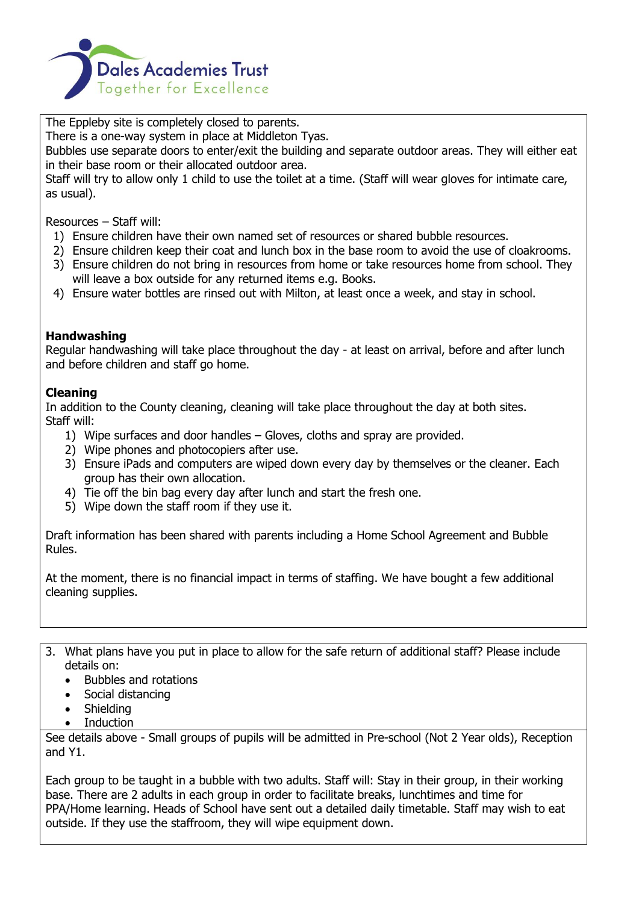

The Eppleby site is completely closed to parents.

There is a one-way system in place at Middleton Tyas.

Bubbles use separate doors to enter/exit the building and separate outdoor areas. They will either eat in their base room or their allocated outdoor area.

Staff will try to allow only 1 child to use the toilet at a time. (Staff will wear gloves for intimate care, as usual).

Resources – Staff will:

- 1) Ensure children have their own named set of resources or shared bubble resources.
- 2) Ensure children keep their coat and lunch box in the base room to avoid the use of cloakrooms.
- 3) Ensure children do not bring in resources from home or take resources home from school. They will leave a box outside for any returned items e.g. Books.
- 4) Ensure water bottles are rinsed out with Milton, at least once a week, and stay in school.

### **Handwashing**

Regular handwashing will take place throughout the day - at least on arrival, before and after lunch and before children and staff go home.

## **Cleaning**

In addition to the County cleaning, cleaning will take place throughout the day at both sites. Staff will:

- 1) Wipe surfaces and door handles Gloves, cloths and spray are provided.
- 2) Wipe phones and photocopiers after use.
- 3) Ensure iPads and computers are wiped down every day by themselves or the cleaner. Each group has their own allocation.
- 4) Tie off the bin bag every day after lunch and start the fresh one.
- 5) Wipe down the staff room if they use it.

Draft information has been shared with parents including a Home School Agreement and Bubble Rules.

At the moment, there is no financial impact in terms of staffing. We have bought a few additional cleaning supplies.

- 3. What plans have you put in place to allow for the safe return of additional staff? Please include details on:
	- Bubbles and rotations
	- Social distancing
	- Shielding
	- Induction

See details above - Small groups of pupils will be admitted in Pre-school (Not 2 Year olds), Reception and Y1.

Each group to be taught in a bubble with two adults. Staff will: Stay in their group, in their working base. There are 2 adults in each group in order to facilitate breaks, lunchtimes and time for PPA/Home learning. Heads of School have sent out a detailed daily timetable. Staff may wish to eat outside. If they use the staffroom, they will wipe equipment down.